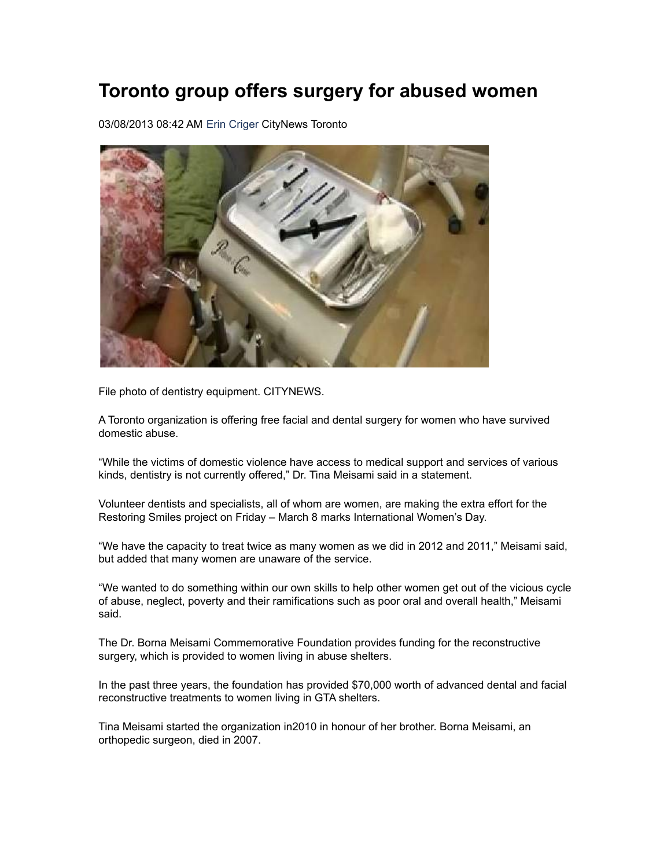## **Toronto group offers surgery for abused women**

03/08/2013 08:42 AM Erin [Criger](http://www.citynews.ca/personalities/erin-criger/) CityNews Toronto



File photo of dentistry equipment. CITYNEWS.

A Toronto organization is offering free facial and dental surgery for women who have survived domestic abuse.

"While the victims of domestic violence have access to medical support and services of various kinds, dentistry is not currently offered," Dr. Tina Meisami said in a statement.

Volunteer dentists and specialists, all of whom are women, are making the extra effort for the Restoring Smiles project on Friday – March 8 marks International Women's Day.

"We have the capacity to treat twice as many women as we did in 2012 and 2011," Meisami said, but added that many women are unaware of the service.

"We wanted to do something within our own skills to help other women get out of the vicious cycle of abuse, neglect, poverty and their ramifications such as poor oral and overall health," Meisami said.

The Dr. Borna Meisami Commemorative Foundation provides funding for the reconstructive surgery, which is provided to women living in abuse shelters.

In the past three years, the foundation has provided \$70,000 worth of advanced dental and facial reconstructive treatments to women living in GTA shelters.

Tina Meisami started the organization in2010 in honour of her brother. Borna Meisami, an orthopedic surgeon, died in 2007.